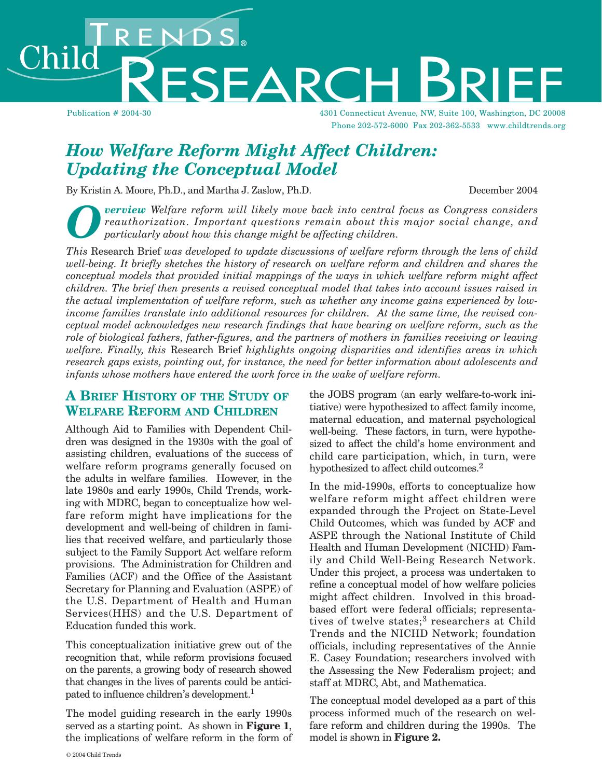Publication # 2004-30 4301 Connecticut Avenue, NW, Suite 100, Washington, DC 20008 Phone 202-572-6000 Fax 202-362-5533 www.childtrends.org

# *How Welfare Reform Might Affect Children: Updating the Conceptual Model*

By Kristin A. Moore, Ph.D., and Martha J. Zaslow, Ph.D. December 2004

Child

**Overview** Welfare reform will likely move back into central focus as Congress considers reauthorization. Important questions remain about this major social change, and particularly about how this change might be affecting *reauthorization. Important questions remain about this major social change, and particularly about how this change might be affecting children.* 

**ESEARCH** 

*This* Research Brief *was developed to update discussions of welfare reform through the lens of child well-being. It briefly sketches the history of research on welfare reform and children and shares the conceptual models that provided initial mappings of the ways in which welfare reform might affect children. The brief then presents a revised conceptual model that takes into account issues raised in the actual implementation of welfare reform, such as whether any income gains experienced by lowincome families translate into additional resources for children. At the same time, the revised conceptual model acknowledges new research findings that have bearing on welfare reform, such as the role of biological fathers, father-figures, and the partners of mothers in families receiving or leaving welfare. Finally, this* Research Brief *highlights ongoing disparities and identifies areas in which research gaps exists, pointing out, for instance, the need for better information about adolescents and infants whose mothers have entered the work force in the wake of welfare reform.* 

#### **A BRIEF HISTORY OF THE STUDY OF WELFARE REFORM AND CHILDREN**

Although Aid to Families with Dependent Children was designed in the 1930s with the goal of assisting children, evaluations of the success of welfare reform programs generally focused on the adults in welfare families. However, in the late 1980s and early 1990s, Child Trends, working with MDRC, began to conceptualize how welfare reform might have implications for the development and well-being of children in families that received welfare, and particularly those subject to the Family Support Act welfare reform provisions. The Administration for Children and Families (ACF) and the Office of the Assistant Secretary for Planning and Evaluation (ASPE) of the U.S. Department of Health and Human Services(HHS) and the U.S. Department of Education funded this work.

This conceptualization initiative grew out of the recognition that, while reform provisions focused on the parents, a growing body of research showed that changes in the lives of parents could be anticipated to influence children's development.<sup>1</sup>

The model guiding research in the early 1990s served as a starting point. As shown in **Figure 1**, the implications of welfare reform in the form of the JOBS program (an early welfare-to-work initiative) were hypothesized to affect family income, maternal education, and maternal psychological well-being. These factors, in turn, were hypothesized to affect the child's home environment and child care participation, which, in turn, were hypothesized to affect child outcomes.<sup>2</sup>

In the mid-1990s, efforts to conceptualize how welfare reform might affect children were expanded through the Project on State-Level Child Outcomes, which was funded by ACF and ASPE through the National Institute of Child Health and Human Development (NICHD) Family and Child Well-Being Research Network. Under this project, a process was undertaken to refine a conceptual model of how welfare policies might affect children. Involved in this broadbased effort were federal officials; representatives of twelve states;<sup>3</sup> researchers at Child Trends and the NICHD Network; foundation officials, including representatives of the Annie E. Casey Foundation; researchers involved with the Assessing the New Federalism project; and staff at MDRC, Abt, and Mathematica.

The conceptual model developed as a part of this process informed much of the research on welfare reform and children during the 1990s. The model is shown in **Figure 2.**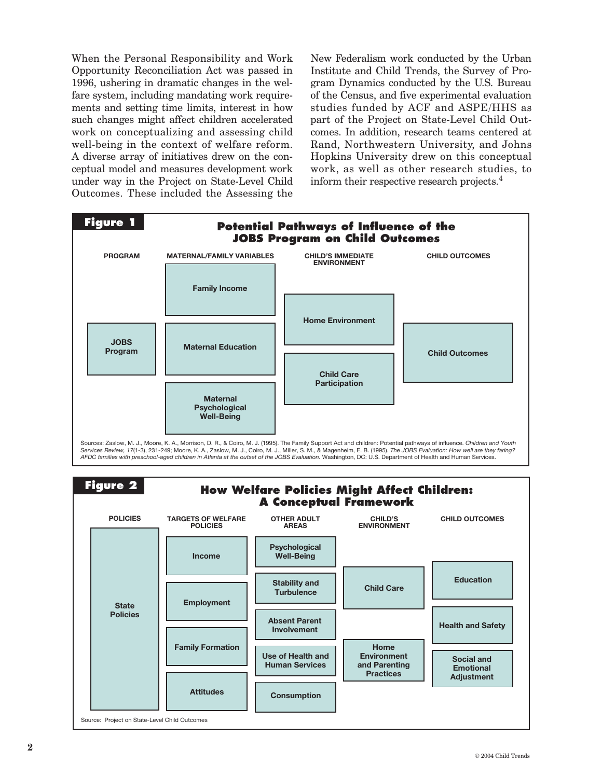When the Personal Responsibility and Work Opportunity Reconciliation Act was passed in 1996, ushering in dramatic changes in the welfare system, including mandating work requirements and setting time limits, interest in how such changes might affect children accelerated work on conceptualizing and assessing child well-being in the context of welfare reform. A diverse array of initiatives drew on the conceptual model and measures development work under way in the Project on State-Level Child Outcomes. These included the Assessing the

New Federalism work conducted by the Urban Institute and Child Trends, the Survey of Program Dynamics conducted by the U.S. Bureau of the Census, and five experimental evaluation studies funded by ACF and ASPE/HHS as part of the Project on State-Level Child Outcomes. In addition, research teams centered at Rand, Northwestern University, and Johns Hopkins University drew on this conceptual work, as well as other research studies, to inform their respective research projects.<sup>4</sup>

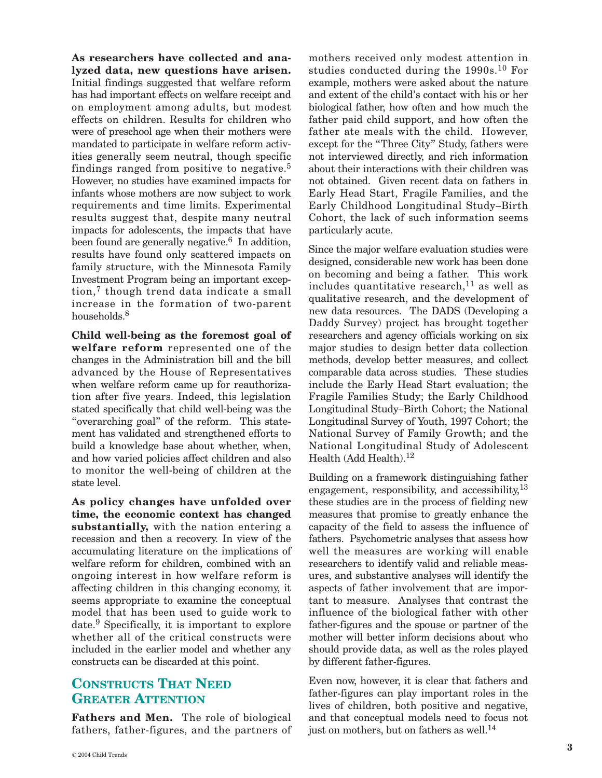**As researchers have collected and analyzed data, new questions have arisen.** Initial findings suggested that welfare reform has had important effects on welfare receipt and on employment among adults, but modest effects on children. Results for children who were of preschool age when their mothers were mandated to participate in welfare reform activities generally seem neutral, though specific findings ranged from positive to negative.<sup>5</sup> However, no studies have examined impacts for infants whose mothers are now subject to work requirements and time limits. Experimental results suggest that, despite many neutral impacts for adolescents, the impacts that have been found are generally negative.<sup>6</sup> In addition, results have found only scattered impacts on family structure, with the Minnesota Family Investment Program being an important exception,<sup>7</sup> though trend data indicate a small increase in the formation of two-parent households.<sup>8</sup>

**Child well-being as the foremost goal of welfare reform** represented one of the changes in the Administration bill and the bill advanced by the House of Representatives when welfare reform came up for reauthorization after five years. Indeed, this legislation stated specifically that child well-being was the "overarching goal" of the reform. This statement has validated and strengthened efforts to build a knowledge base about whether, when, and how varied policies affect children and also to monitor the well-being of children at the state level.

**As policy changes have unfolded over time, the economic context has changed substantially,** with the nation entering a recession and then a recovery. In view of the accumulating literature on the implications of welfare reform for children, combined with an ongoing interest in how welfare reform is affecting children in this changing economy, it seems appropriate to examine the conceptual model that has been used to guide work to date.<sup>9</sup> Specifically, it is important to explore whether all of the critical constructs were included in the earlier model and whether any constructs can be discarded at this point.

#### **CONSTRUCTS THAT NEED GREATER ATTENTION**

**Fathers and Men.** The role of biological fathers, father-figures, and the partners of mothers received only modest attention in studies conducted during the  $1990s$ .<sup>10</sup> For example, mothers were asked about the nature and extent of the child's contact with his or her biological father, how often and how much the father paid child support, and how often the father ate meals with the child. However, except for the "Three City" Study, fathers were not interviewed directly, and rich information about their interactions with their children was not obtained. Given recent data on fathers in Early Head Start, Fragile Families, and the Early Childhood Longitudinal Study–Birth Cohort, the lack of such information seems particularly acute.

Since the major welfare evaluation studies were designed, considerable new work has been done on becoming and being a father. This work includes quantitative research, $^{11}$  as well as qualitative research, and the development of new data resources. The DADS (Developing a Daddy Survey) project has brought together researchers and agency officials working on six major studies to design better data collection methods, develop better measures, and collect comparable data across studies. These studies include the Early Head Start evaluation; the Fragile Families Study; the Early Childhood Longitudinal Study–Birth Cohort; the National Longitudinal Survey of Youth, 1997 Cohort; the National Survey of Family Growth; and the National Longitudinal Study of Adolescent Health (Add Health).<sup>12</sup>

Building on a framework distinguishing father engagement, responsibility, and accessibility,  $^{13}$ these studies are in the process of fielding new measures that promise to greatly enhance the capacity of the field to assess the influence of fathers. Psychometric analyses that assess how well the measures are working will enable researchers to identify valid and reliable measures, and substantive analyses will identify the aspects of father involvement that are important to measure. Analyses that contrast the influence of the biological father with other father-figures and the spouse or partner of the mother will better inform decisions about who should provide data, as well as the roles played by different father-figures.

Even now, however, it is clear that fathers and father-figures can play important roles in the lives of children, both positive and negative, and that conceptual models need to focus not just on mothers, but on fathers as well.<sup>14</sup>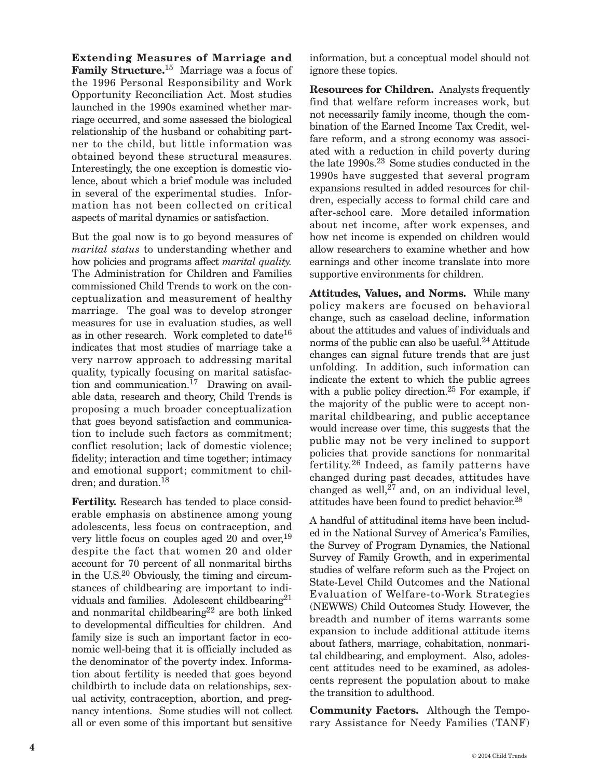**Extending Measures of Marriage and Family Structure.**<sup>15</sup> Marriage was a focus of the 1996 Personal Responsibility and Work Opportunity Reconciliation Act. Most studies launched in the 1990s examined whether marriage occurred, and some assessed the biological relationship of the husband or cohabiting partner to the child, but little information was obtained beyond these structural measures. Interestingly, the one exception is domestic violence, about which a brief module was included in several of the experimental studies. Information has not been collected on critical aspects of marital dynamics or satisfaction.

But the goal now is to go beyond measures of *marital status* to understanding whether and how policies and programs affect *marital quality.* The Administration for Children and Families commissioned Child Trends to work on the conceptualization and measurement of healthy marriage. The goal was to develop stronger measures for use in evaluation studies, as well as in other research. Work completed to date16 indicates that most studies of marriage take a very narrow approach to addressing marital quality, typically focusing on marital satisfaction and communication.<sup>17</sup> Drawing on available data, research and theory, Child Trends is proposing a much broader conceptualization that goes beyond satisfaction and communication to include such factors as commitment; conflict resolution; lack of domestic violence; fidelity; interaction and time together; intimacy and emotional support; commitment to children; and duration.18

**Fertility.** Research has tended to place considerable emphasis on abstinence among young adolescents, less focus on contraception, and very little focus on couples aged 20 and over,<sup>19</sup> despite the fact that women 20 and older account for 70 percent of all nonmarital births in the U.S.20 Obviously, the timing and circumstances of childbearing are important to individuals and families. Adolescent childbearing<sup>21</sup> and nonmarital childbearing<sup>22</sup> are both linked to developmental difficulties for children. And family size is such an important factor in economic well-being that it is officially included as the denominator of the poverty index. Information about fertility is needed that goes beyond childbirth to include data on relationships, sexual activity, contraception, abortion, and pregnancy intentions. Some studies will not collect all or even some of this important but sensitive

information, but a conceptual model should not ignore these topics.

**Resources for Children.** Analysts frequently find that welfare reform increases work, but not necessarily family income, though the combination of the Earned Income Tax Credit, welfare reform, and a strong economy was associated with a reduction in child poverty during the late 1990s.23 Some studies conducted in the 1990s have suggested that several program expansions resulted in added resources for children, especially access to formal child care and after-school care. More detailed information about net income, after work expenses, and how net income is expended on children would allow researchers to examine whether and how earnings and other income translate into more supportive environments for children.

**Attitudes, Values, and Norms.** While many policy makers are focused on behavioral change, such as caseload decline, information about the attitudes and values of individuals and norms of the public can also be useful.<sup>24</sup> Attitude changes can signal future trends that are just unfolding. In addition, such information can indicate the extent to which the public agrees with a public policy direction.<sup>25</sup> For example, if the majority of the public were to accept nonmarital childbearing, and public acceptance would increase over time, this suggests that the public may not be very inclined to support policies that provide sanctions for nonmarital fertility.<sup>26</sup> Indeed, as family patterns have changed during past decades, attitudes have changed as well, $27$  and, on an individual level, attitudes have been found to predict behavior.28

A handful of attitudinal items have been included in the National Survey of America's Families, the Survey of Program Dynamics, the National Survey of Family Growth, and in experimental studies of welfare reform such as the Project on State-Level Child Outcomes and the National Evaluation of Welfare-to-Work Strategies (NEWWS) Child Outcomes Study. However, the breadth and number of items warrants some expansion to include additional attitude items about fathers, marriage, cohabitation, nonmarital childbearing, and employment. Also, adolescent attitudes need to be examined, as adolescents represent the population about to make the transition to adulthood.

**Community Factors.** Although the Temporary Assistance for Needy Families (TANF)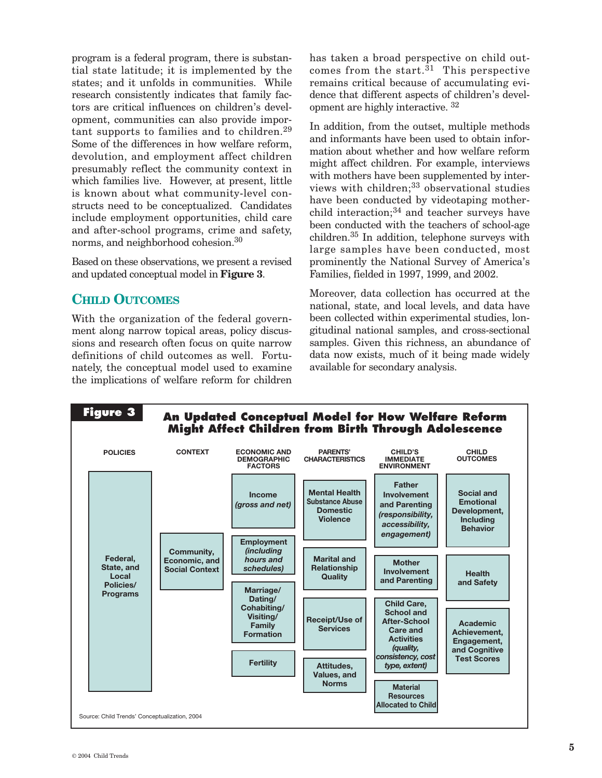program is a federal program, there is substantial state latitude; it is implemented by the states; and it unfolds in communities. While research consistently indicates that family factors are critical influences on children's development, communities can also provide important supports to families and to children.<sup>29</sup> Some of the differences in how welfare reform, devolution, and employment affect children presumably reflect the community context in which families live. However, at present, little is known about what community-level constructs need to be conceptualized. Candidates include employment opportunities, child care and after-school programs, crime and safety, norms, and neighborhood cohesion.30

Based on these observations, we present a revised and updated conceptual model in **Figure 3**.

### **CHILD OUTCOMES**

With the organization of the federal government along narrow topical areas, policy discussions and research often focus on quite narrow definitions of child outcomes as well. Fortunately, the conceptual model used to examine the implications of welfare reform for children has taken a broad perspective on child outcomes from the start. $31$  This perspective remains critical because of accumulating evidence that different aspects of children's development are highly interactive. 32

In addition, from the outset, multiple methods and informants have been used to obtain information about whether and how welfare reform might affect children. For example, interviews with mothers have been supplemented by interviews with children;<sup>33</sup> observational studies have been conducted by videotaping motherchild interaction;<sup>34</sup> and teacher surveys have been conducted with the teachers of school-age children.35 In addition, telephone surveys with large samples have been conducted, most prominently the National Survey of America's Families, fielded in 1997, 1999, and 2002.

Moreover, data collection has occurred at the national, state, and local levels, and data have been collected within experimental studies, longitudinal national samples, and cross-sectional samples. Given this richness, an abundance of data now exists, much of it being made widely available for secondary analysis.

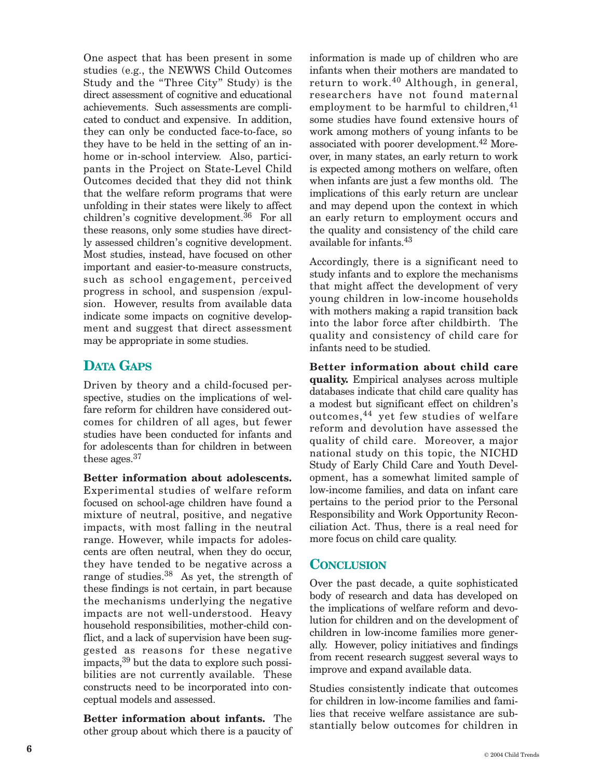One aspect that has been present in some studies (e.g., the NEWWS Child Outcomes Study and the "Three City" Study) is the direct assessment of cognitive and educational achievements. Such assessments are complicated to conduct and expensive. In addition, they can only be conducted face-to-face, so they have to be held in the setting of an inhome or in-school interview. Also, participants in the Project on State-Level Child Outcomes decided that they did not think that the welfare reform programs that were unfolding in their states were likely to affect children's cognitive development.<sup>36</sup> For all these reasons, only some studies have directly assessed children's cognitive development. Most studies, instead, have focused on other important and easier-to-measure constructs, such as school engagement, perceived progress in school, and suspension /expulsion. However, results from available data indicate some impacts on cognitive development and suggest that direct assessment may be appropriate in some studies.

## **DATA GAPS**

Driven by theory and a child-focused perspective, studies on the implications of welfare reform for children have considered outcomes for children of all ages, but fewer studies have been conducted for infants and for adolescents than for children in between these ages.37

**Better information about adolescents.** Experimental studies of welfare reform focused on school-age children have found a mixture of neutral, positive, and negative impacts, with most falling in the neutral range. However, while impacts for adolescents are often neutral, when they do occur, they have tended to be negative across a range of studies.<sup>38</sup> As yet, the strength of these findings is not certain, in part because the mechanisms underlying the negative impacts are not well-understood. Heavy household responsibilities, mother-child conflict, and a lack of supervision have been suggested as reasons for these negative impacts,39 but the data to explore such possibilities are not currently available. These constructs need to be incorporated into conceptual models and assessed.

**Better information about infants.** The other group about which there is a paucity of information is made up of children who are infants when their mothers are mandated to return to work.<sup>40</sup> Although, in general, researchers have not found maternal employment to be harmful to children, $41$ some studies have found extensive hours of work among mothers of young infants to be associated with poorer development.42 Moreover, in many states, an early return to work is expected among mothers on welfare, often when infants are just a few months old. The implications of this early return are unclear and may depend upon the context in which an early return to employment occurs and the quality and consistency of the child care available for infants.43

Accordingly, there is a significant need to study infants and to explore the mechanisms that might affect the development of very young children in low-income households with mothers making a rapid transition back into the labor force after childbirth. The quality and consistency of child care for infants need to be studied.

**Better information about child care quality.** Empirical analyses across multiple databases indicate that child care quality has a modest but significant effect on children's outcomes,44 yet few studies of welfare reform and devolution have assessed the quality of child care. Moreover, a major national study on this topic, the NICHD Study of Early Child Care and Youth Development, has a somewhat limited sample of low-income families, and data on infant care pertains to the period prior to the Personal Responsibility and Work Opportunity Reconciliation Act. Thus, there is a real need for more focus on child care quality.

#### **CONCLUSION**

Over the past decade, a quite sophisticated body of research and data has developed on the implications of welfare reform and devolution for children and on the development of children in low-income families more generally. However, policy initiatives and findings from recent research suggest several ways to improve and expand available data.

Studies consistently indicate that outcomes for children in low-income families and families that receive welfare assistance are substantially below outcomes for children in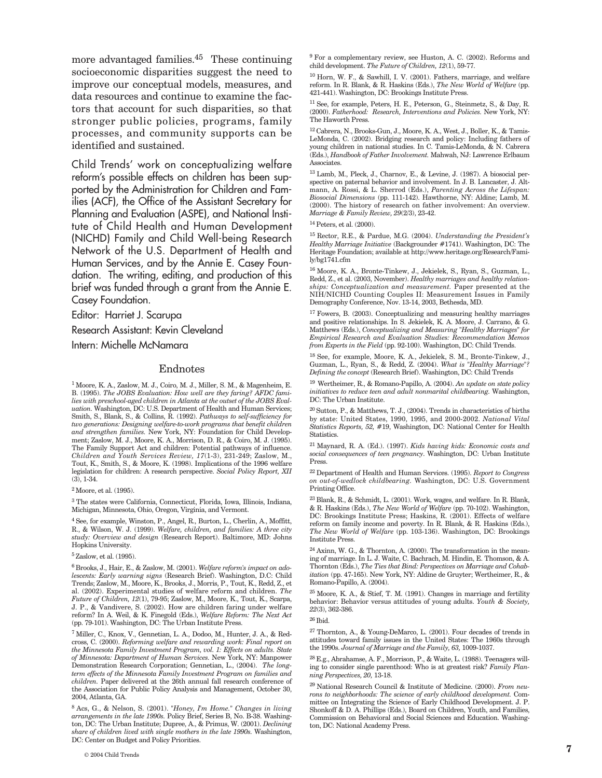more advantaged families. $45$  These continuing socioeconomic disparities suggest the need to improve our conceptual models, measures, and data resources and continue to examine the factors that account for such disparities, so that stronger public policies, programs, family processes, and community supports can be identified and sustained.

Child Trends' work on conceptualizing welfare reform's possible effects on children has been supported by the Administration for Children and Families (ACF), the Office of the Assistant Secretary for Planning and Evaluation (ASPE), and National Institute of Child Health and Human Development (NICHD) Family and Child Well-being Research Network of the U.S. Department of Health and Human Services, and by the Annie E. Casey Foundation. The writing, editing, and production of this brief was funded through a grant from the Annie E. Casey Foundation.

Editor: Harriet J. Scarupa

Research Assistant: Kevin Cleveland

Intern: Michelle McNamara

#### Endnotes

1 Moore, K. A., Zaslow, M. J., Coiro, M. J., Miller, S. M., & Magenheim, E. B. (1995). *The JOBS Evaluation: How well are they faring? AFDC families with preschool-aged children in Atlanta at the outset of the JOBS Evaluation.* Washington, DC: U.S. Department of Health and Human Services; Smith, S., Blank, S., & Collins, R. (1992). *Pathways to self-sufficiency for two generations: Designing welfare-to-work programs that benefit children and strengthen families.* New York, NY: Foundation for Child Development; Zaslow, M. J., Moore, K. A., Morrison, D. R., & Coiro, M. J. (1995). The Family Support Act and children: Potential pathways of influence. *Children and Youth Services Review, 17*(1-3), 231-249; Zaslow, M., Tout, K., Smith, S., & Moore, K. (1998). Implications of the 1996 welfare legislation for children: A research perspective. *Social Policy Report, XII*  $(3)$ , 1-34.

2 Moore, et al. (1995).

 $^3$  The states were California, Connecticut, Florida, Iowa, Illinois, Indiana, Michigan, Minnesota, Ohio, Oregon, Virginia, and Vermont.

4 See, for example, Winston, P., Angel, R., Burton, L., Cherlin, A., Moffitt, R., & Wilson, W. J. (1999). *Welfare, children, and families: A three city study: Overview and design* (Research Report). Baltimore, MD: Johns Hopkins University.

5 Zaslow, et al. (1995).

6 Brooks, J., Hair, E., & Zaslow, M. (2001). *Welfare reform's impact on adolescents: Early warning signs* (Research Brief). Washington, D.C: Child Trends; Zaslow, M., Moore, K., Brooks, J., Morris, P., Tout, K., Redd, Z., et al. (2002). Experimental studies of welfare reform and children. *The Future of Children, 12*(1), 79-95; Zaslow, M., Moore, K., Tout, K., Scarpa, J. P., & Vandivere, S. (2002). How are children faring under welfare reform? In A. Weil, & K. Finegold (Eds.), *Welfare Reform: The Next Act* (pp. 79-101). Washington, DC: The Urban Institute Press.

7 Miller, C., Knox, V., Gennetian, L. A., Dodoo, M., Hunter, J. A., & Redcross, C. (2000). *Reforming welfare and rewarding work: Final report on the Minnesota Family Investment Program, vol. 1: Effects on adults. State of Minnesota: Department of Human Services.* New York, NY: Manpower Demonstration Research Corporation; Gennetian, L., (2004). *The longterm effects of the Minnesota Family Investment Program on families and children.* Paper delivered at the 26th annual fall research conference of the Association for Public Policy Analysis and Management, October 30, 2004, Atlanta, GA.

8 Acs, G., & Nelson, S. (2001). *"Honey, I'm Home." Changes in living arrangements in the late 1990s.* Policy Brief, Series B, No. B-38. Washington, DC: The Urban Institute; Dupree, A., & Primus, W. (2001). *Declining share of children lived with single mothers in the late 1990s.* Washington, DC: Center on Budget and Policy Priorities.

<sup>9</sup> For a complementary review, see Huston, A. C. (2002). Reforms and child development. *The Future of Children, 12*(1), 59-77.

10 Horn, W. F., & Sawhill, I. V. (2001). Fathers, marriage, and welfare reform. In R. Blank, & R. Haskins (Eds.), *The New World of Welfare* (pp. 421-441). Washington, DC: Brookings Institute Press.

11 See, for example, Peters, H. E., Peterson, G., Steinmetz, S., & Day, R. (2000). *Fatherhood: Research, Interventions and Policies.* New York, NY: The Haworth Press.

12 Cabrera, N., Brooks-Gun, J., Moore, K. A., West, J., Boller, K., & Tamis-LeMonda, C. (2002). Bridging research and policy: Including fathers of young children in national studies. In C. Tamis-LeMonda, & N. Cabrera (Eds.), *Handbook of Father Involvement.* Mahwah, NJ: Lawrence Erlbaum Associates.

13 Lamb, M., Pleck, J., Charnov, E., & Levine, J. (1987). A biosocial perspective on paternal behavior and involvement. In J. B. Lancaster, J. Altmann, A. Rossi, & L. Sherrod (Eds.), *Parenting Across the Lifespan: Biosocial Dimensions* (pp. 111-142). Hawthorne, NY: Aldine; Lamb, M. (2000). The history of research on father involvement: An overview. *Marriage & Family Review, 29*(2/3), 23-42.

14 Peters, et al. (2000).

15 Rector, R.E., & Pardue, M.G. (2004). *Understanding the President's Healthy Marriage Initiative* (Backgrounder #1741). Washington, DC: The Heritage Foundation; available at http://www.heritage.org/Research/Family/bg1741.cfm

 $^{16}\,$  Moore, K. A., Bronte-Tinkew, J., Jekielek, S., Ryan, S., Guzman, L., Redd, Z., et al. (2003, November). *Healthy marriages and healthy relationships: Conceptualization and measurement.* Paper presented at the NIH/NICHD Counting Couples II: Measurement Issues in Family Demography Conference, Nov. 13-14, 2003, Bethesda, MD.

17 Fowers, B. (2003). Conceptualizing and measuring healthy marriages and positive relationships. In S. Jekielek, K. A. Moore, J. Carrano, & G. Matthews (Eds.), *Conceptualizing and Measuring "Healthy Marriages" for Empirical Research and Evaluation Studies: Recommendation Memos from Experts in the Field* (pp. 92-100). Washington, DC: Child Trends.

18 See, for example, Moore, K. A., Jekielek, S. M., Bronte-Tinkew, J., Guzman, L., Ryan, S., & Redd, Z. (2004). *What is "Healthy Marriage"? Defining the concept* (Research Brief). Washington, DC: Child Trends

19 Wertheimer, R., & Romano-Papillo, A. (2004). *An update on state policy initiatives to reduce teen and adult nonmarital childbearing.* Washington, DC: The Urban Institute.

 $^{20}\,$  Sutton, P., & Matthews, T. J., (2004). Trends in characteristics of births by state: United States, 1990, 1995, and 2000-2002. *National Vital Statistics Reports, 52,* #19, Washington, DC: National Center for Health Statistics.

21 Maynard, R. A. (Ed.). (1997). *Kids having kids: Economic costs and social consequences of teen pregnancy*. Washington, DC: Urban Institute Press.

22 Department of Health and Human Services. (1995). *Report to Congress on out-of-wedlock childbearing.* Washington, DC: U.S. Government Printing Office.

 $^{23}$  Blank, R., & Schmidt, L. (2001). Work, wages, and welfare. In R. Blank, & R. Haskins (Eds.), *The New World of Welfare* (pp. 70-102). Washington, DC: Brookings Institute Press; Haskins, R. (2001). Effects of welfare reform on family income and poverty. In R. Blank, & R. Haskins (Eds.), *The New World of Welfare* (pp. 103-136). Washington, DC: Brookings Institute Press.

 $^{24}$  Axinn, W. G., & Thornton, A. (2000). The transformation in the meaning of marriage. In L. J. Waite, C. Bachrach, M. Hindin, E. Thomson, & A. Thornton (Eds.), *The Ties that Bind: Perspectives on Marriage and Cohabitation* (pp. 47-165). New York, NY: Aldine de Gruyter; Wertheimer, R., & Romano-Papillo, A. (2004).

25 Moore, K. A., & Stief, T. M. (1991). Changes in marriage and fertility behavior: Behavior versus attitudes of young adults. *Youth & Society, 22*(3), 362-386.

26 Ibid.

 $^{27}$  Thornton, A., & Young-DeMarco, L. (2001). Four decades of trends in attitudes toward family issues in the United States: The 1960s through the 1990s. *Journal of Marriage and the Family, 63,* 1009-1037.

28 E.g., Abrahamse, A. F., Morrison, P., & Waite, L. (1988). Teenagers willing to consider single parenthood: Who is at greatest risk? *Family Planning Perspectives, 20,* 13-18.

29 National Research Council & Institute of Medicine. (2000). *From neurons to neighborhoods: The science of early childhood development.* Committee on Integrating the Science of Early Childhood Development. J. P. Shonkoff & D. A. Phillips (Eds.), Board on Children, Youth, and Families, Commission on Behavioral and Social Sciences and Education. Washington, DC: National Academy Press.